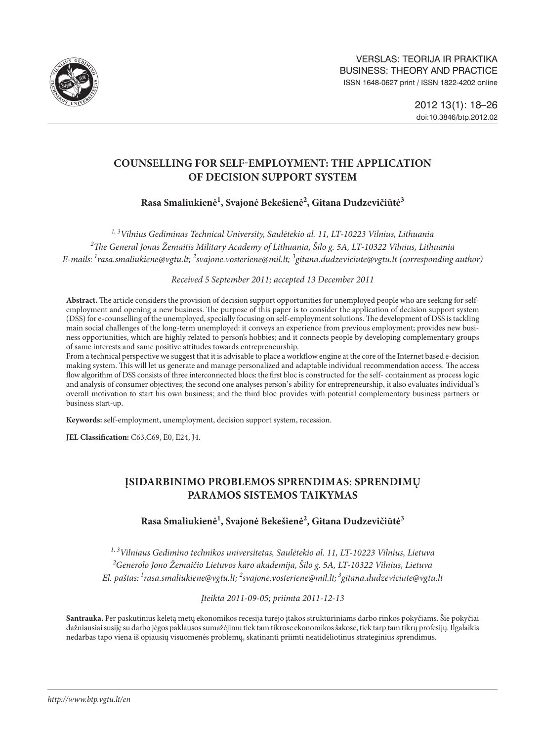

# **COUNSELLING FOR SELF-EMPLOYMENT: THE APPLICATION OF DECISION SUPPORT SYSTEM**

# **Rasa Smaliukienė1 , Svajonė Bekešienė2 , Gitana Dudzevičiūtė3**

*1, 3 Vilnius Gediminas Technical University, Saulėtekio al. 11, LT-10223 Vilnius, Lithuania 2 The General Jonas Žemaitis Military Academy of Lithuania, Šilo g. 5A, LT-10322 Vilnius, Lithuania E-mails: 1rasa.smaliukiene@vgtu.lt; 2 svajone.vosteriene@mil.lt; 3 gitana.dudzeviciute@vgtu.lt (corresponding author)*

*Received 5 September 2011; accepted 13 December 2011*

**Abstract.** The article considers the provision of decision support opportunities for unemployed people who are seeking for selfemployment and opening a new business. The purpose of this paper is to consider the application of decision support system (DSS) for e-counselling of the unemployed, specially focusing on self-employment solutions. The development of DSS is tackling main social challenges of the long-term unemployed: it conveys an experience from previous employment; provides new business opportunities, which are highly related to person's hobbies; and it connects people by developing complementary groups of same interests and same positive attitudes towards entrepreneurship.

From a technical perspective we suggest that it is advisable to place a workflow engine at the core of the Internet based e-decision making system. This will let us generate and manage personalized and adaptable individual recommendation access. The access flow algorithm of DSS consists of three interconnected blocs: the first bloc is constructed for the self- containment as process logic and analysis of consumer objectives; the second one analyses person's ability for entrepreneurship, it also evaluates individual's overall motivation to start his own business; and the third bloc provides with potential complementary business partners or business start-up.

**Keywords:** self-employment, unemployment, decision support system, recession.

**JEL Classification:** C63,C69, E0, E24, J4.

# **ĮSIDARBINIMO PROBLEMOS SPRENDIMAS: SPRENDIMŲ PARAMOS SISTEMOS TAIKYMAS**

## **Rasa Smaliukienė1 , Svajonė Bekešienė2 , Gitana Dudzevičiūtė3**

*1, 3 Vilniaus Gedimino technikos universitetas, Saulėtekio al. 11, LT-10223 Vilnius, Lietuva 2 Generolo Jono Žemaičio Lietuvos karo akademija, Šilo g. 5A, LT-10322 Vilnius, Lietuva El. paštas: 1rasa.smaliukiene@vgtu.lt; 2 svajone.vosteriene@mil.lt; <sup>3</sup> [gitana.dudzeviciute@vgtu.lt](mailto:3gitana.dudzeviciute@vgtu.lt)*

*Įteikta 2011-09-05; priimta 2011-12-13*

**Santrauka.** Per paskutinius keletą metų ekonomikos recesija turėjo įtakos struktūriniams darbo rinkos pokyčiams. Šie pokyčiai dažniausiai susiję su darbo jėgos paklausos sumažėjimu tiek tam tikrose ekonomikos šakose, tiek tarp tam tikrų profesijų. Ilgalaikis nedarbas tapo viena iš opiausių visuomenės problemų, skatinanti priimti neatidėliotinus strateginius sprendimus.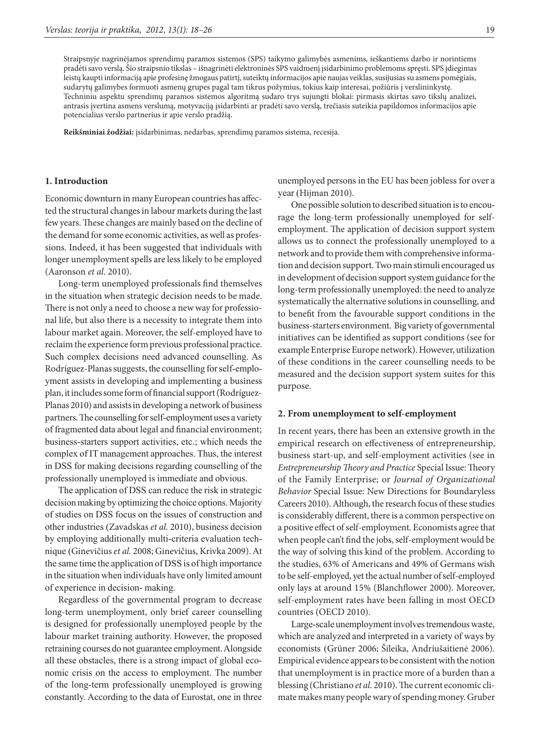Straipsnyje nagrinėjamos sprendimų paramos sistemos (SPS) taikymo galimybės asmenims, ieškantiems darbo ir norintiems pradėti savo verslą. Šio straipsnio tikslas – išnagrinėti elektroninės SPS vaidmenį įsidarbinimo problemoms spręsti. SPS įdiegimas leistų kaupti informaciją apie profesinę žmogaus patirtį, suteiktų informacijos apie naujas veiklas, susijusias su asmens pomėgiais, sudarytų galimybes formuoti asmenų grupes pagal tam tikrus požymius, tokius kaip interesai, požiūris į verslininkystę. Techniniu aspektu sprendimų paramos sistemos algoritmą sudaro trys sujungti blokai: pirmasis skirtas savo tikslų analizei, antrasis įvertina asmens verslumą, motyvaciją įsidarbinti ar pradėti savo verslą, trečiasis suteikia papildomos informacijos apie potencialius verslo partnerius ir apie verslo pradžią.

**Reikšminiai žodžiai:** įsidarbinimas, nedarbas, sprendimų paramos sistema, recesija.

#### **1. Introduction**

Economic downturn in many European countries has affected the structural changes in labour markets during the last few years. These changes are mainly based on the decline of the demand for some economic activities, as well as professions. Indeed, it has been suggested that individuals with longer unemployment spells are less likely to be employed (Aaronson *et al*. 2010).

Long-term unemployed professionals find themselves in the situation when strategic decision needs to be made. There is not only a need to choose a new way for professional life, but also there is a necessity to integrate them into labour market again. Moreover, the self-employed have to reclaim the experience form previous professional practice. Such complex decisions need advanced counselling. As Rodríguez-Planas suggests, the counselling for self-employment assists in developing and implementing a business plan, it includes some form of financial support (Rodríguez-Planas 2010) and assists in developing a network of business partners. The counselling for self-employment uses a variety of fragmented data about legal and financial environment; business-starters support activities, etc.; which needs the complex of IT management approaches. Thus, the interest in DSS for making decisions regarding counselling of the professionally unemployed is immediate and obvious.

The application of DSS can reduce the risk in strategic decision making by optimizing the choice options. Majority of studies on DSS focus on the issues of construction and other industries (Zavadskas *et al.* 2010), business decision by employing additionally multi-criteria evaluation technique (Ginevičius *et al.* 2008; Ginevičius, Krivka 2009). At the same time the application of DSS is of high importance in the situation when individuals have only limited amount of experience in decision- making.

Regardless of the governmental program to decrease long-term unemployment, only brief career counselling is designed for professionally unemployed people by the labour market training authority. However, the proposed retraining courses do not guarantee employment. Alongside all these obstacles, there is a strong impact of global economic crisis on the access to employment. The number of the long-term professionally unemployed is growing constantly. According to the data of Eurostat, one in three

unemployed persons in the EU has been jobless for over a year (Hijman 2010).

One possible solution to described situation is to encourage the long-term professionally unemployed for selfemployment. The application of decision support system allows us to connect the professionally unemployed to a network and to provide them with comprehensive information and decision support. Two main stimuli encouraged us in development of decision support system guidance for the long-term professionally unemployed: the need to analyze systematically the alternative solutions in counselling, and to benefit from the favourable support conditions in the business-starters environment. Big variety of governmental initiatives can be identified as support conditions (see for example Enterprise Europe network). However, utilization of these conditions in the career counselling needs to be measured and the decision support system suites for this purpose.

#### **2. From unemployment to self-employment**

In recent years, there has been an extensive growth in the empirical research on effectiveness of entrepreneurship, business start-up, and self-employment activities (see in *Entrepreneurship Theory and Practice* Special Issue: Theory of the Family Enterprise; or *Journal of Organizational Behavior* Special Issue: New Directions for Boundaryless Careers 2010). Although, the research focus of these studies is considerably different, there is a common perspective on a positive effect of self-employment. Economists agree that when people can't find the jobs, self-employment would be the way of solving this kind of the problem. According to the studies, 63% of Americans and 49% of Germans wish to be self-employed, yet the actual number of self-employed only lays at around 15% (Blanchflower 2000). Moreover, self-employment rates have been falling in most OECD countries (OECD 2010).

Large-scale unemployment involves tremendous waste, which are analyzed and interpreted in a variety of ways by economists (Grüner 2006; Šileika, Andriušaitienė 2006). Empirical evidence appears to be consistent with the notion that unemployment is in practice more of a burden than a blessing (Christiano *et al.* 2010). The current economic climate makes many people wary of spending money. Gruber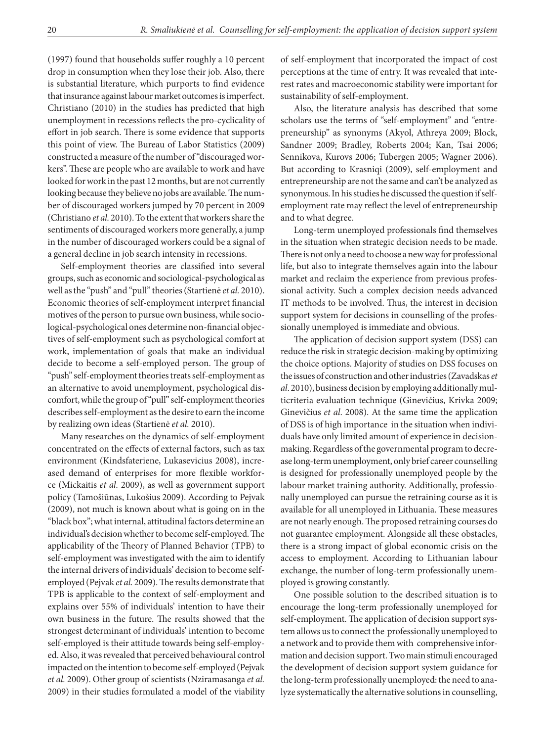(1997) found that households suffer roughly a 10 percent drop in consumption when they lose their job. Also, there is substantial literature, which purports to find evidence that insurance against labour market outcomes is imperfect. Christiano (2010) in the studies has predicted that high unemployment in recessions reflects the pro-cyclicality of effort in job search. There is some evidence that supports this point of view. The Bureau of Labor Statistics (2009) constructed a measure of the number of "discouraged workers". These are people who are available to work and have looked for work in the past 12 months, but are not currently looking because they believe no jobs are available. The number of discouraged workers jumped by 70 percent in 2009 (Christiano *et al.* 2010). To the extent that workers share the sentiments of discouraged workers more generally, a jump in the number of discouraged workers could be a signal of a general decline in job search intensity in recessions.

Self-employment theories are classified into several groups, such as economic and sociological-psychological as well as the "push" and "pull" theories (Startienė *et al.* 2010). Economic theories of self-employment interpret financial motives of the person to pursue own business, while sociological-psychological ones determine non-financial objectives of self-employment such as psychological comfort at work, implementation of goals that make an individual decide to become a self-employed person. The group of "push" self-employment theories treats self-employment as an alternative to avoid unemployment, psychological discomfort, while the group of "pull" self-employment theories describes self-employment as the desire to earn the income by realizing own ideas (Startienė *et al.* 2010).

Many researches on the dynamics of self-employment concentrated on the effects of external factors, such as tax environment (Kindsfateriene, Lukasevicius 2008), increased demand of enterprises for more flexible workforce (Mickaitis *et al.* 2009), as well as government support policy (Tamošiūnas, Lukošius 2009). According to Pejvak (2009), not much is known about what is going on in the "black box"; what internal, attitudinal factors determine an individual's decision whether to become self-employed. The applicability of the Theory of Planned Behavior (TPB) to self-employment was investigated with the aim to identify the internal drivers of individuals' decision to become selfemployed (Pejvak *et al.* 2009). The results demonstrate that TPB is applicable to the context of self-employment and explains over 55% of individuals' intention to have their own business in the future. The results showed that the strongest determinant of individuals' intention to become self-employed is their attitude towards being self-employed. Also, it was revealed that perceived behavioural control impacted on the intention to become self-employed (Pejvak *et al.* 2009). Other group of scientists (Nziramasanga *et al.* 2009) in their studies formulated a model of the viability

of self-employment that incorporated the impact of cost perceptions at the time of entry. It was revealed that interest rates and macroeconomic stability were important for sustainability of self-employment.

Also, the literature analysis has described that some scholars use the terms of "self-employment" and "entrepreneurship" as synonyms (Akyol, Athreya 2009; Block, Sandner 2009; Bradley, Roberts 2004; Kan, Tsai 2006; Sennikova, Kurovs 2006; Tubergen 2005; Wagner 2006). But according to Krasniqi (2009), self-employment and entrepreneurship are not the same and can't be analyzed as synonymous. In his studies he discussed the question if selfemployment rate may reflect the level of entrepreneurship and to what degree.

Long-term unemployed professionals find themselves in the situation when strategic decision needs to be made. There is not only a need to choose a new way for professional life, but also to integrate themselves again into the labour market and reclaim the experience from previous professional activity. Such a complex decision needs advanced IT methods to be involved. Thus, the interest in decision support system for decisions in counselling of the professionally unemployed is immediate and obvious.

The application of decision support system (DSS) can reduce the risk in strategic decision-making by optimizing the choice options. Majority of studies on DSS focuses on the issues of construction and other industries (Zavadskas *et al*. 2010), business decision by employing additionally multicriteria evaluation technique (Ginevičius, Krivka 2009; Ginevičius *et al*. 2008). At the same time the application of DSS is of high importance in the situation when individuals have only limited amount of experience in decisionmaking. Regardless of the governmental program to decrease long-term unemployment, only brief career counselling is designed for professionally unemployed people by the labour market training authority. Additionally, professionally unemployed can pursue the retraining course as it is available for all unemployed in Lithuania. These measures are not nearly enough. The proposed retraining courses do not guarantee employment. Alongside all these obstacles, there is a strong impact of global economic crisis on the access to employment. According to Lithuanian labour exchange, the number of long-term professionally unemployed is growing constantly.

One possible solution to the described situation is to encourage the long-term professionally unemployed for self-employment. The application of decision support system allows us to connect the professionally unemployed to a network and to provide them with comprehensive information and decision support. Two main stimuli encouraged the development of decision support system guidance for the long-term professionally unemployed: the need to analyze systematically the alternative solutions in counselling,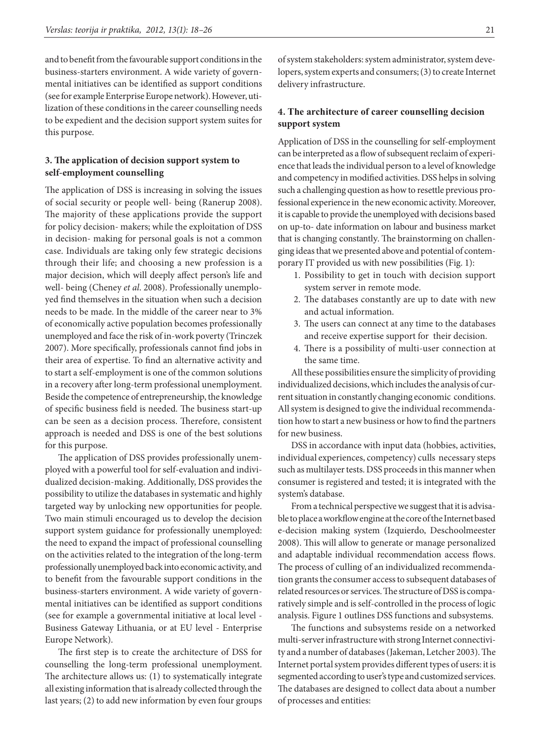and to benefit from the favourable support conditions in the business-starters environment. A wide variety of governmental initiatives can be identified as support conditions (see for example Enterprise Europe network). However, utilization of these conditions in the career counselling needs to be expedient and the decision support system suites for this purpose.

## **3. The application of decision support system to self-employment counselling**

The application of DSS is increasing in solving the issues of social security or people well- being (Ranerup 2008). The majority of these applications provide the support for policy decision- makers; while the exploitation of DSS in decision- making for personal goals is not a common case. Individuals are taking only few strategic decisions through their life; and choosing a new profession is a major decision, which will deeply affect person's life and well- being (Cheney *et al*. 2008). Professionally unemployed find themselves in the situation when such a decision needs to be made. In the middle of the career near to 3% of economically active population becomes professionally unemployed and face the risk of in-work poverty (Trinczek 2007). More specifically, professionals cannot find jobs in their area of expertise. To find an alternative activity and to start a self-employment is one of the common solutions in a recovery after long-term professional unemployment. Beside the competence of entrepreneurship, the knowledge of specific business field is needed. The business start-up can be seen as a decision process. Therefore, consistent approach is needed and DSS is one of the best solutions for this purpose.

The application of DSS provides professionally unemployed with a powerful tool for self-evaluation and individualized decision-making. Additionally, DSS provides the possibility to utilize the databases in systematic and highly targeted way by unlocking new opportunities for people. Two main stimuli encouraged us to develop the decision support system guidance for professionally unemployed: the need to expand the impact of professional counselling on the activities related to the integration of the long-term professionally unemployed back into economic activity, and to benefit from the favourable support conditions in the business-starters environment. A wide variety of governmental initiatives can be identified as support conditions (see for example a governmental initiative at local level - Business Gateway Lithuania, or at EU level - Enterprise Europe Network).

The first step is to create the architecture of DSS for counselling the long-term professional unemployment. The architecture allows us: (1) to systematically integrate all existing information that is already collected through the last years; (2) to add new information by even four groups

of system stakeholders: system administrator, system developers, system experts and consumers; (3) to create Internet delivery infrastructure.

## **4. The architecture of career counselling decision support system**

Application of DSS in the counselling for self-employment can be interpreted as a flow of subsequent reclaim of experience that leads the individual person to a level of knowledge and competency in modified activities. DSS helps in solving such a challenging question as how to resettle previous professional experience in the new economic activity. Moreover, it is capable to provide the unemployed with decisions based on up-to- date information on labour and business market that is changing constantly. The brainstorming on challenging ideas that we presented above and potential of contemporary IT provided us with new possibilities (Fig. 1):

- 1. Possibility to get in touch with decision support system server in remote mode.
- 2. The databases constantly are up to date with new and actual information.
- 3. The users can connect at any time to the databases and receive expertise support for their decision.
- 4. There is a possibility of multi-user connection at the same time.

All these possibilities ensure the simplicity of providing individualized decisions, which includes the analysis of current situation in constantly changing economic conditions. All system is designed to give the individual recommendation how to start a new business or how to find the partners for new business.

DSS in accordance with input data (hobbies, activities, individual experiences, competency) culls necessary steps such as multilayer tests. DSS proceeds in this manner when consumer is registered and tested; it is integrated with the system's database.

From a technical perspective we suggest that it is advisable to place a workflow engine at the core of the Internet based e-decision making system (Izquierdo, Deschoolmeester 2008). This will allow to generate or manage personalized and adaptable individual recommendation access flows. The process of culling of an individualized recommendation grants the consumer access to subsequent databases of related resources or services. The structure of DSS is comparatively simple and is self-controlled in the process of logic analysis. Figure 1 outlines DSS functions and subsystems.

The functions and subsystems reside on a networked multi-server infrastructure with strong Internet connectivity and a number of databases (Jakeman, Letcher 2003). The Internet portal system provides different types of users: it is segmented according to user's type and customized services. The databases are designed to collect data about a number of processes and entities: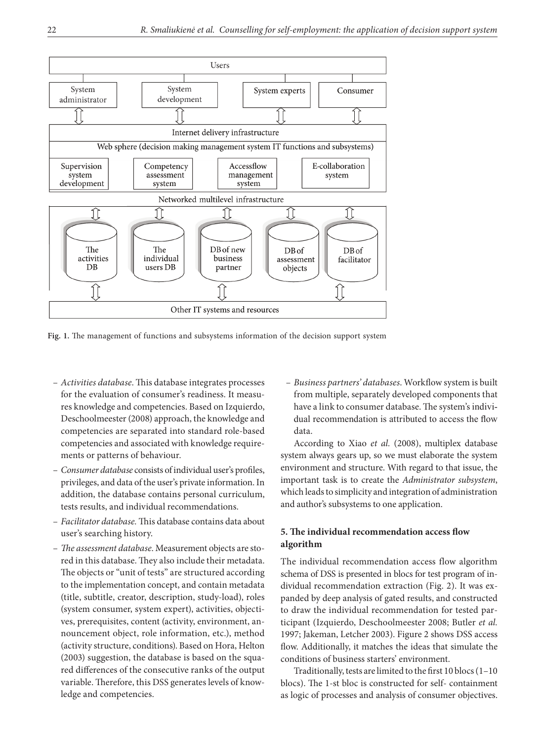

**Fig. 1.** The management of functions and subsystems information of the decision support system

- *Activities database*. This database integrates processes for the evaluation of consumer's readiness. It measures knowledge and competencies. Based on Izquierdo, Deschoolmeester (2008) approach, the knowledge and competencies are separated into standard role-based competencies and associated with knowledge requirements or patterns of behaviour.
- *Consumer database* consists of individual user's profiles, privileges, and data of the user's private information. In addition, the database contains personal curriculum, tests results, and individual recommendations.
- *Facilitator database.* This database contains data about user's searching history.
- *The assessment database*. Measurement objects are stored in this database. They also include their metadata. The objects or "unit of tests" are structured according to the implementation concept, and contain metadata (title, subtitle, creator, description, study-load), roles (system consumer, system expert), activities, objectives, prerequisites, content (activity, environment, announcement object, role information, etc.), method (activity structure, conditions). Based on Hora, Helton (2003) suggestion, the database is based on the squared differences of the consecutive ranks of the output variable. Therefore, this DSS generates levels of knowledge and competencies.

– *Business partners' databases*. Workflow system is built from multiple, separately developed components that have a link to consumer database. The system's individual recommendation is attributed to access the flow data.

According to Xiao *et al.* (2008), multiplex database system always gears up, so we must elaborate the system environment and structure. With regard to that issue, the important task is to create the *Administrator subsystem*, which leads to simplicity and integration of administration and author's subsystems to one application.

## **5. The individual recommendation access flow algorithm**

The individual recommendation access flow algorithm schema of DSS is presented in blocs for test program of individual recommendation extraction (Fig. 2). It was expanded by deep analysis of gated results, and constructed to draw the individual recommendation for tested participant (Izquierdo, Deschoolmeester 2008; Butler *et al.* 1997; Jakeman, Letcher 2003). Figure 2 shows DSS access flow. Additionally, it matches the ideas that simulate the conditions of business starters' environment.

Traditionally, tests are limited to the first 10 blocs (1–10 blocs). The 1-st bloc is constructed for self- containment as logic of processes and analysis of consumer objectives.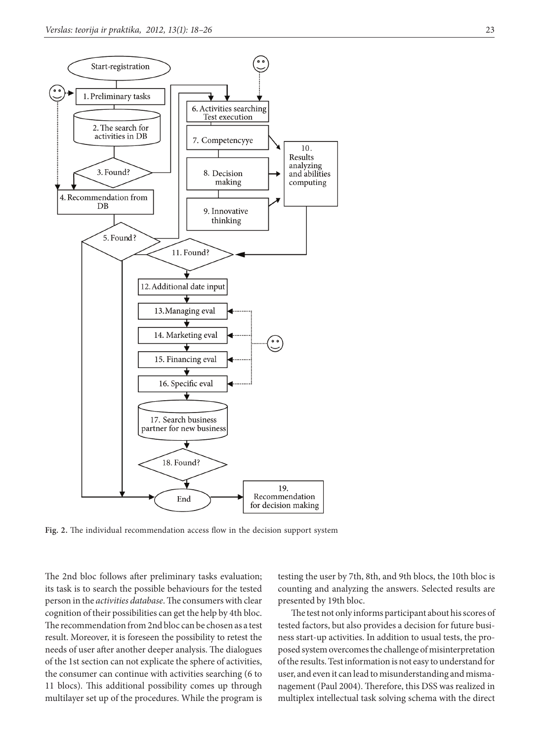

**Fig. 2.** The individual recommendation access flow in the decision support system

The 2nd bloc follows after preliminary tasks evaluation; its task is to search the possible behaviours for the tested person in the *activities database*. The consumers with clear cognition of their possibilities can get the help by 4th bloc. The recommendation from 2nd bloc can be chosen as a test result. Moreover, it is foreseen the possibility to retest the needs of user after another deeper analysis. The dialogues of the 1st section can not explicate the sphere of activities, the consumer can continue with activities searching (6 to 11 blocs). This additional possibility comes up through multilayer set up of the procedures. While the program is

testing the user by 7th, 8th, and 9th blocs, the 10th bloc is counting and analyzing the answers. Selected results are presented by 19th bloc.

The test not only informs participant about his scores of tested factors, but also provides a decision for future business start-up activities. In addition to usual tests, the proposed system overcomes the challenge of misinterpretation of the results. Test information is not easy to understand for user, and even it can lead to misunderstanding and mismanagement (Paul 2004). Therefore, this DSS was realized in multiplex intellectual task solving schema with the direct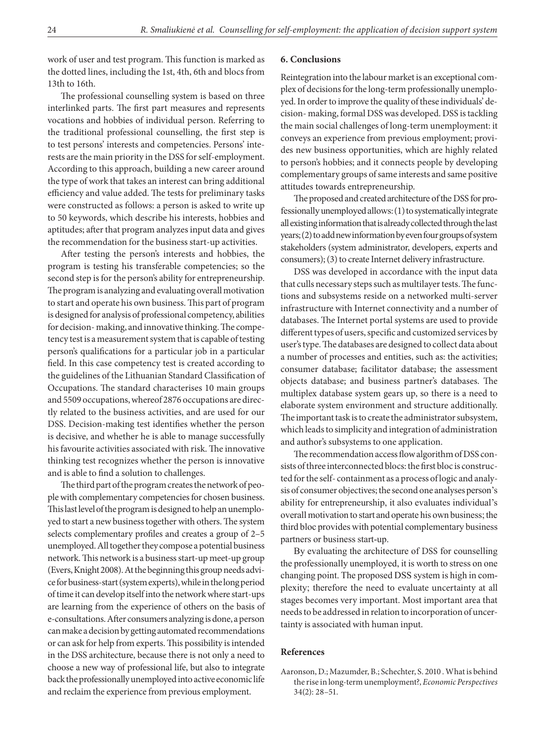work of user and test program. This function is marked as the dotted lines, including the 1st, 4th, 6th and blocs from 13th to 16th.

The professional counselling system is based on three interlinked parts. The first part measures and represents vocations and hobbies of individual person. Referring to the traditional professional counselling, the first step is to test persons' interests and competencies. Persons' interests are the main priority in the DSS for self-employment. According to this approach, building a new career around the type of work that takes an interest can bring additional efficiency and value added. The tests for preliminary tasks were constructed as follows: a person is asked to write up to 50 keywords, which describe his interests, hobbies and aptitudes; after that program analyzes input data and gives the recommendation for the business start-up activities.

After testing the person's interests and hobbies, the program is testing his transferable competencies; so the second step is for the person's ability for entrepreneurship. The program is analyzing and evaluating overall motivation to start and operate his own business. This part of program is designed for analysis of professional competency, abilities for decision- making, and innovative thinking. The competency test is a measurement system that is capable of testing person's qualifications for a particular job in a particular field. In this case competency test is created according to the guidelines of the Lithuanian Standard Classification of Occupations. The standard characterises 10 main groups and 5509 occupations, whereof 2876 occupations are directly related to the business activities, and are used for our DSS. Decision-making test identifies whether the person is decisive, and whether he is able to manage successfully his favourite activities associated with risk. The innovative thinking test recognizes whether the person is innovative and is able to find a solution to challenges.

The third part of the program creates the network of people with complementary competencies for chosen business. This last level of the program is designed to help an unemployed to start a new business together with others. The system selects complementary profiles and creates a group of 2–5 unemployed. All together they compose a potential business network. This network is a business start-up meet-up group (Evers, Knight 2008). At the beginning this group needs advice for business-start (system experts), while in the long period of time it can develop itself into the network where start-ups are learning from the experience of others on the basis of e-consultations. After consumers analyzing is done, a person can make a decision by getting automated recommendations or can ask for help from experts. This possibility is intended in the DSS architecture, because there is not only a need to choose a new way of professional life, but also to integrate back the professionally unemployed into active economic life and reclaim the experience from previous employment.

#### **6. Conclusions**

Reintegration into the labour market is an exceptional complex of decisions for the long-term professionally unemployed. In order to improve the quality of these individuals' decision- making, formal DSS was developed. DSS is tackling the main social challenges of long-term unemployment: it conveys an experience from previous employment; provides new business opportunities, which are highly related to person's hobbies; and it connects people by developing complementary groups of same interests and same positive attitudes towards entrepreneurship.

The proposed and created architecture of the DSS for professionally unemployed allows: (1) to systematically integrate all existing information that is already collected through the last years; (2) to add new information by even four groups of system stakeholders (system administrator, developers, experts and consumers); (3) to create Internet delivery infrastructure.

DSS was developed in accordance with the input data that culls necessary steps such as multilayer tests. The functions and subsystems reside on a networked multi-server infrastructure with Internet connectivity and a number of databases. The Internet portal systems are used to provide different types of users, specific and customized services by user's type. The databases are designed to collect data about a number of processes and entities, such as: the activities; consumer database; facilitator database; the assessment objects database; and business partner's databases. The multiplex database system gears up, so there is a need to elaborate system environment and structure additionally. The important task is to create the administrator subsystem, which leads to simplicity and integration of administration and author's subsystems to one application.

The recommendation access flow algorithm of DSS consists of three interconnected blocs: the first bloc is constructed for the self- containment as a process of logic and analysis of consumer objectives; the second one analyses person's ability for entrepreneurship, it also evaluates individual's overall motivation to start and operate his own business; the third bloc provides with potential complementary business partners or business start-up.

By evaluating the architecture of DSS for counselling the professionally unemployed, it is worth to stress on one changing point. The proposed DSS system is high in complexity; therefore the need to evaluate uncertainty at all stages becomes very important. Most important area that needs to be addressed in relation to incorporation of uncertainty is associated with human input.

#### **References**

Aaronson, D.; Mazumder, B.; Schechter, S. 2010 . What is behind the rise in long-term unemployment?, *Economic Perspectives* 34(2): 28–51.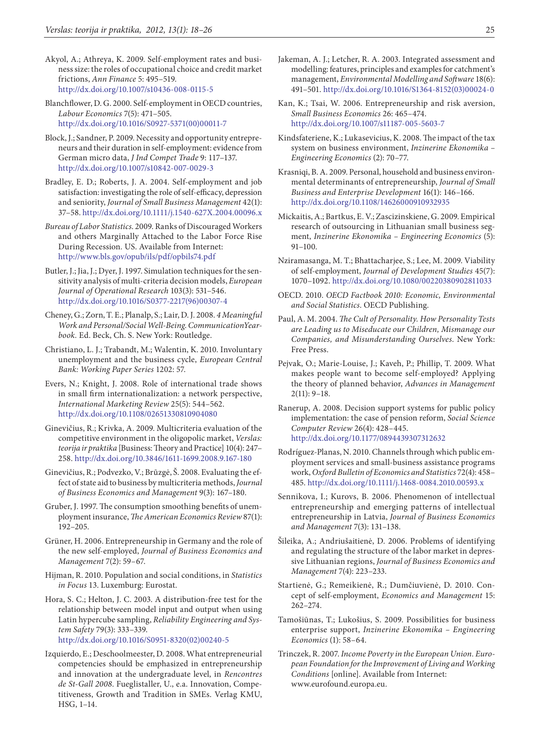- Akyol, A.; Athreya, K. 2009. Self-employment rates and business size: the roles of occupational choice and credit market frictions, *Ann Finance* 5: 495–519. <http://dx.doi.org/10.1007/s10436-008-0115-5>
- Blanchflower, D. G. 2000. Self-employment in OECD countries, *Labour Economics* 7(5): 471–505. [http://dx.doi.org/10.1016/S0927-5371\(00\)00011-7](http://dx.doi.org/10.1016/S0927-5371(00)00011-7)
- Block, J.; Sandner, P. 2009. Necessity and opportunity entrepreneurs and their duration in self-employment: evidence from German micro data, *J Ind Compet Trade* 9: 117–137. <http://dx.doi.org/10.1007/s10842-007-0029-3>
- Bradley, E. D.; Roberts, J. A. 2004. Self-employment and job satisfaction: investigating the role of self-efficacy, depression and seniority, *Journal of Small Business Management* 42(1): 37–58.<http://dx.doi.org/10.1111/j.1540-627X.2004.00096.x>
- *Bureau of Labor Statistics*. 2009. Ranks of Discouraged Workers and others Marginally Attached to the Labor Force Rise During Recession*.* US. Available from Internet: http://www.bls.gov/opub/ils/pdf/opbils74.pdf
- Butler, J.; Jia, J.; Dyer, J. 1997. Simulation techniques for the sensitivity analysis of multi-criteria decision models, *European Journal of Operational Research* 103(3): 531–546. [http://dx.doi.org/10.1016/S0377-2217\(96\)00307-4](http://dx.doi.org/10.1016/S0377-2217(96)00307-4)
- Cheney, G.; Zorn, T. E.; Planalp, S.; Lair, D. J. 2008. *4 Meaningful Work and Personal/Social Well-Being*. *CommunicationYearbook.* Ed. Beck, Ch. S. New York: Routledge.
- Christiano, L. J.; Trabandt, M.; Walentin, K. 2010. Involuntary unemployment and the business cycle, *European Central Bank: Working Paper Series* 1202: 57.
- Evers, N.; Knight, J. 2008. Role of international trade shows in small firm internationalization: a network perspective, *International Marketing Review* 25(5): 544–562. <http://dx.doi.org/10.1108/02651330810904080>
- Ginevičius, R.; Krivka, A. 2009. Multicriteria evaluation of the competitive environment in the oligopolic market, *Verslas: teorija ir praktika* [Business: Theory and Practice] 10(4): 247– 258.<http://dx.doi.org/10.3846/1611-1699.2008.9.167-180>
- Ginevičius, R.; Podvezko, V.; Brūzgė, Š. 2008. Evaluating the effect of state aid to business by multicriteria methods, *Journal of Business Economics and Management* 9(3): 167–180.
- Gruber, J. 1997. The consumption smoothing benefits of unemployment insurance, *The American Economics Review* 87(1): 192–205.
- Grüner, H. 2006. Entrepreneurship in Germany and the role of the new self-employed, *Journal of Business Economics and Management* 7(2): 59–67.
- Hijman, R. 2010. Population and social conditions, in *Statistics in Focus* 13. Luxemburg: Eurostat.
- Hora, S. C.; Helton, J. C. 2003. A distribution-free test for the relationship between model input and output when using Latin hypercube sampling, *Reliability Engineering and System Safety* 79(3): 333–339.

[http://dx.doi.org/10.1016/S0951-8320\(02\)00240-5](http://dx.doi.org/10.1016/S0951-8320(02)00240-5)

Izquierdo, E.; Deschoolmeester, D. 2008. What entrepreneurial competencies should be emphasized in entrepreneurship and innovation at the undergraduate level, in *Rencontres de St-Gall 2008*. Fueglistaller, U., e.a. Innovation, Competitiveness, Growth and Tradition in SMEs. Verlag KMU, HSG, 1–14.

- Jakeman, A. J.; Letcher, R. A. 2003. Integrated assessment and modelling: features, principles and examples for catchment's management, *Environmental Modelling and Software* 18(6): 491–501. [http://dx.doi.org/10.1016/S1364-8152\(03\)00024-0](http://dx.doi.org/10.1016/S1364-8152(03)00024-0)
- Kan, K.; Tsai, W. 2006. Entrepreneurship and risk aversion, *Small Business Economics* 26: 465–474. <http://dx.doi.org/10.1007/s11187-005-5603-7>
- Kindsfateriene, K.; Lukasevicius, K. 2008. The impact of the tax system on business environment, *Inzinerine Ekonomika – Engineering Economics* (2): 70–77.
- Krasniqi, B. A. 2009. Personal, household and business environmental determinants of entrepreneurship, *Journal of Small Business and Enterprise Development* 16(1): 146–166. <http://dx.doi.org/10.1108/14626000910932935>
- Mickaitis, A.; Bartkus, E. V.; Zascizinskiene, G. 2009. Empirical research of outsourcing in Lithuanian small business segment, *Inzinerine Ekonomika – Engineering Economics* (5): 91–100.
- Nziramasanga, M. T.; Bhattacharjee, S.; Lee, M. 2009. Viability of self-employment, *Journal of Development Studies* 45(7): 1070–1092. <http://dx.doi.org/10.1080/00220380902811033>
- OECD. 2010. *OECD Factbook 2010: Economic, Environmental and Social Statistics*. OECD Publishing.
- Paul, A. M. 2004. *The Cult of Personality. How Personality Tests are Leading us to Miseducate our Children, Mismanage our Companies, and Misunderstanding Ourselves*. New York: Free Press.
- Pejvak, O.; Marie-Louise, J.; Kaveh, P.; Phillip, T. 2009. What makes people want to become self-employed? Applying the theory of planned behavior, *Advances in Management*   $2(11): 9-18.$
- Ranerup, A. 2008. Decision support systems for public policy implementation: the case of pension reform, *Social Science Computer Review* 26(4): 428–445. <http://dx.doi.org/10.1177/0894439307312632>
- Rodríguez-Planas, N. 2010. Channels through which public employment services and small-business assistance programs work, *Oxford Bulletin of Economics and Statistics* 72(4): 458– 485.<http://dx.doi.org/10.1111/j.1468-0084.2010.00593.x>
- Sennikova, I.; Kurovs, B. 2006. Phenomenon of intellectual entrepreneurship and emerging patterns of intellectual entrepreneurship in Latvia, *Journal of Business Economics and Management* 7(3): 131–138.
- Šileika, A.; Andriušaitienė, D. 2006. Problems of identifying and regulating the structure of the labor market in depressive Lithuanian regions, *Journal of Business Economics and Management* 7(4): 223–233.
- Startienė, G.; Remeikienė, R.; Dumčiuvienė, D. 2010. Concept of self-employment, *Economics and Management* 15: 262–274.
- Tamošiūnas, T.; Lukošius, S. 2009. Possibilities for business enterprise support, *Inzinerine Ekonomika – Engineering Economics* (1): 58–64.
- Trinczek, R. 2007. *Income Poverty in the European Union. European Foundation for the Improvement of Living and Working Conditions* [online]. Available from Internet: [www.eurofound.europa.eu](http://www.eurofound.europa.eu).